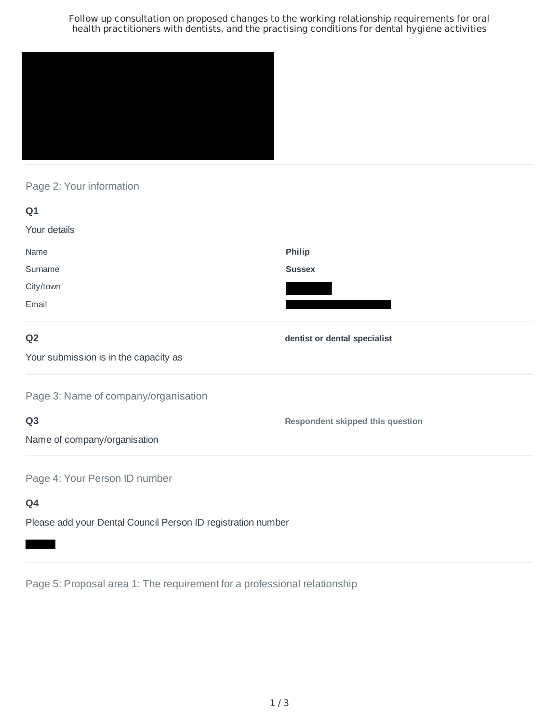Follow up consultation on proposed changes to the working relationship requirements for oral health practitioners with dentists, and the practising conditions for dental hygiene activities



### Page 2: Your information

| Q1                                    |                                  |
|---------------------------------------|----------------------------------|
| Your details                          |                                  |
| Name                                  | Philip                           |
| Surname                               | <b>Sussex</b>                    |
| City/town                             |                                  |
| Email                                 |                                  |
| Q <sub>2</sub>                        | dentist or dental specialist     |
| Your submission is in the capacity as |                                  |
| Page 3: Name of company/organisation  |                                  |
| Q <sub>3</sub>                        | Respondent skipped this question |
| Name of company/organisation          |                                  |
| Page 4: Your Person ID number         |                                  |
| Q4                                    |                                  |

Please add your Dental Council Person ID registration number

Page 5: Proposal area 1: The requirement for a professional relationship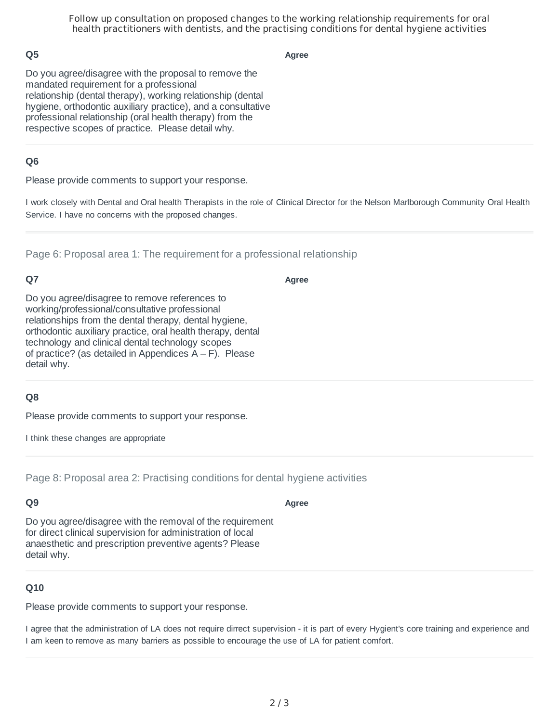Follow up consultation on proposed changes to the working relationship requirements for oral health practitioners with dentists, and the practising conditions for dental hygiene activities

### **Q5**

**Agree**

Do you agree/disagree with the proposal to remove the mandated requirement for a professional relationship (dental therapy), working relationship (dental hygiene, orthodontic auxiliary practice), and a consultative professional relationship (oral health therapy) from the respective scopes of practice. Please detail why.

#### **Q6**

Please provide comments to support your response.

I work closely with Dental and Oral health Therapists in the role of Clinical Director for the Nelson Marlborough Community Oral Health Service. I have no concerns with the proposed changes.

Page 6: Proposal area 1: The requirement for a professional relationship

#### **Q7**

**Agree**

Do you agree/disagree to remove references to working/professional/consultative professional relationships from the dental therapy, dental hygiene, orthodontic auxiliary practice, oral health therapy, dental technology and clinical dental technology scopes of practice? (as detailed in Appendices  $A - F$ ). Please detail why.

#### **Q8**

Please provide comments to support your response.

I think these changes are appropriate

Page 8: Proposal area 2: Practising conditions for dental hygiene activities

# **Q9**

Do you agree/disagree with the removal of the requirement for direct clinical supervision for administration of local anaesthetic and prescription preventive agents? Please detail why.

# **Q10**

Please provide comments to support your response.

I agree that the administration of LA does not require dirrect supervision - it is part of every Hygient's core training and experience and I am keen to remove as many barriers as possible to encourage the use of LA for patient comfort.

**Agree**